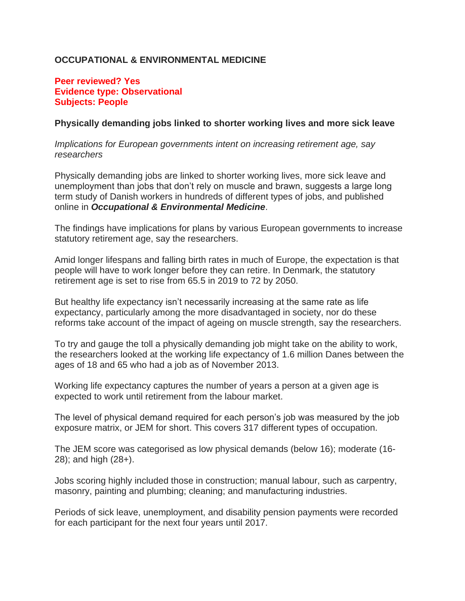## **OCCUPATIONAL & ENVIRONMENTAL MEDICINE**

## **Peer reviewed? Yes Evidence type: Observational Subjects: People**

## **Physically demanding jobs linked to shorter working lives and more sick leave**

*Implications for European governments intent on increasing retirement age, say researchers*

Physically demanding jobs are linked to shorter working lives, more sick leave and unemployment than jobs that don't rely on muscle and brawn, suggests a large long term study of Danish workers in hundreds of different types of jobs, and published online in *Occupational & Environmental Medicine*.

The findings have implications for plans by various European governments to increase statutory retirement age, say the researchers.

Amid longer lifespans and falling birth rates in much of Europe, the expectation is that people will have to work longer before they can retire. In Denmark, the statutory retirement age is set to rise from 65.5 in 2019 to 72 by 2050.

But healthy life expectancy isn't necessarily increasing at the same rate as life expectancy, particularly among the more disadvantaged in society, nor do these reforms take account of the impact of ageing on muscle strength, say the researchers.

To try and gauge the toll a physically demanding job might take on the ability to work, the researchers looked at the working life expectancy of 1.6 million Danes between the ages of 18 and 65 who had a job as of November 2013.

Working life expectancy captures the number of years a person at a given age is expected to work until retirement from the labour market.

The level of physical demand required for each person's job was measured by the job exposure matrix, or JEM for short. This covers 317 different types of occupation.

The JEM score was categorised as low physical demands (below 16); moderate (16- 28); and high (28+).

Jobs scoring highly included those in construction; manual labour, such as carpentry, masonry, painting and plumbing; cleaning; and manufacturing industries.

Periods of sick leave, unemployment, and disability pension payments were recorded for each participant for the next four years until 2017.